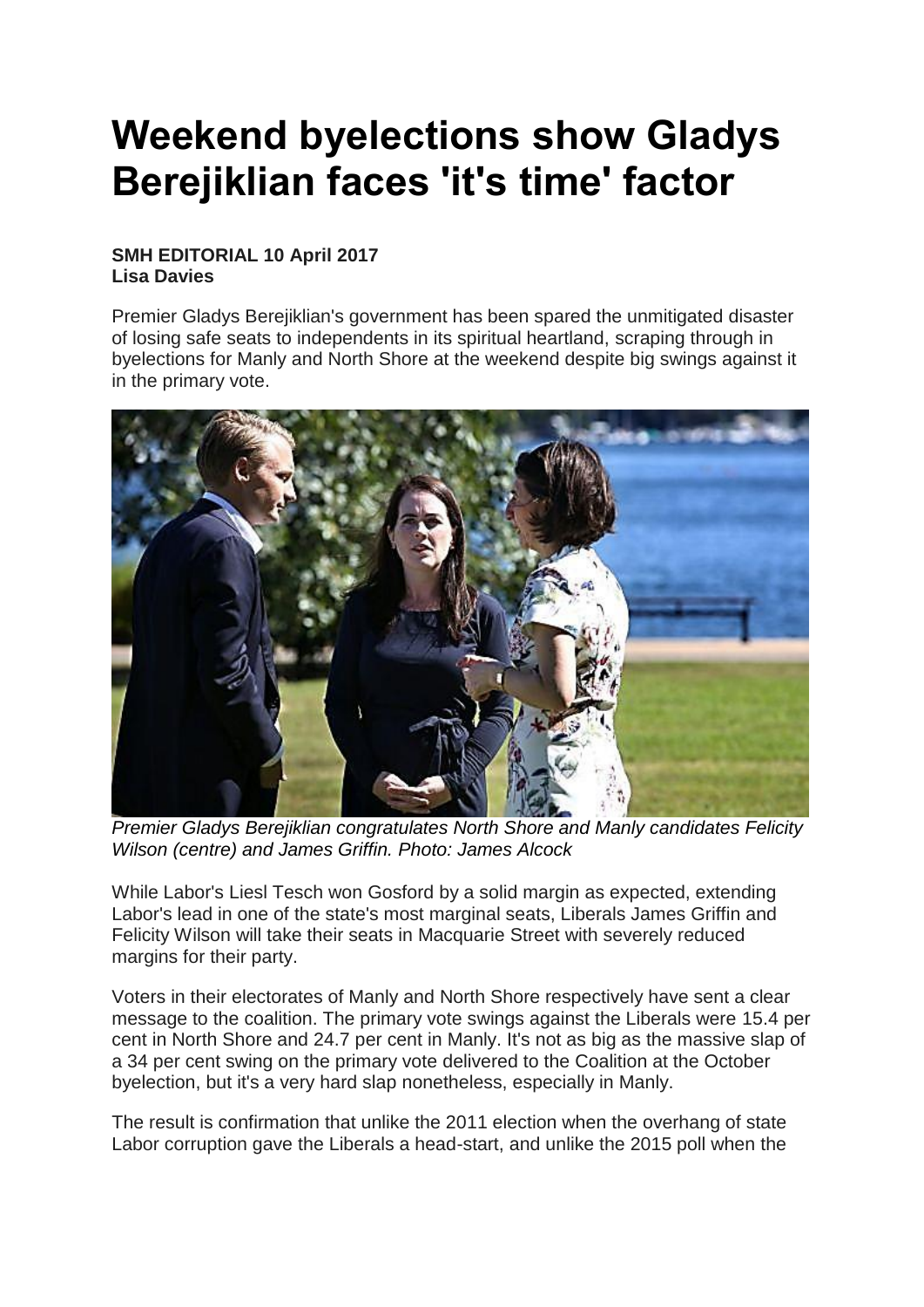## **Weekend byelections show Gladys Berejiklian faces 'it's time' factor**

## **SMH EDITORIAL 10 April 2017 Lisa Davies**

Premier Gladys Berejiklian's government has been spared the unmitigated disaster of losing safe seats to independents in its spiritual heartland, scraping through in byelections for Manly and North Shore at the weekend despite big swings against it in the primary vote.



*Premier Gladys Berejiklian congratulates North Shore and Manly candidates Felicity Wilson (centre) and James Griffin. Photo: James Alcock*

While Labor's Liesl Tesch won Gosford by a solid margin as expected, extending Labor's lead in one of the state's most marginal seats, Liberals James Griffin and Felicity Wilson will take their seats in Macquarie Street with severely reduced margins for their party.

Voters in their electorates of Manly and North Shore respectively have sent a clear message to the coalition. The primary vote swings against the Liberals were 15.4 per cent in North Shore and 24.7 per cent in Manly. It's not as big as the massive slap of a 34 per cent swing on the primary vote delivered to the Coalition at the October byelection, but it's a very hard slap nonetheless, especially in Manly.

The result is confirmation that unlike the 2011 election when the overhang of state Labor corruption gave the Liberals a head-start, and unlike the 2015 poll when the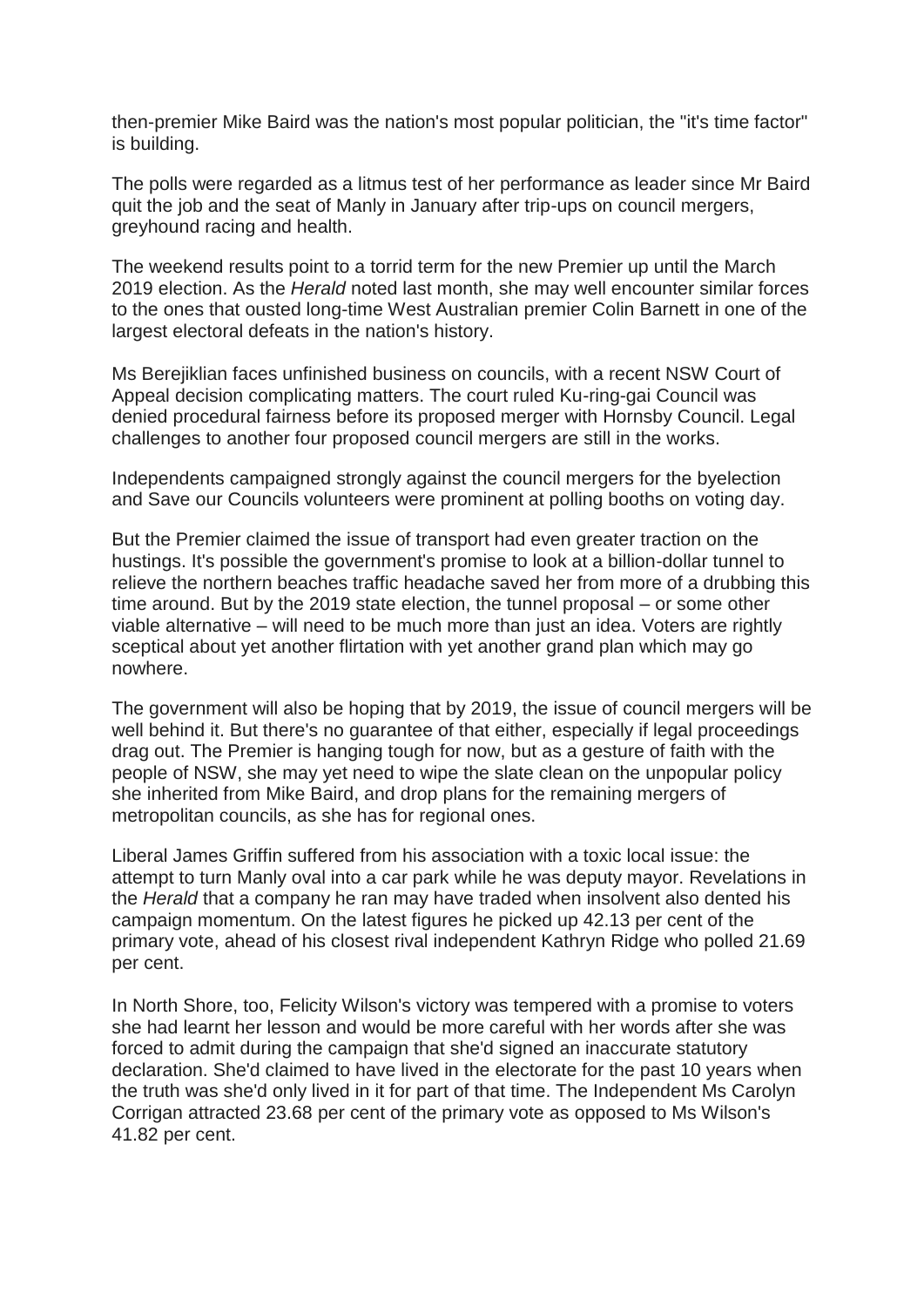then-premier Mike Baird was the nation's most popular politician, the "it's time factor" is building.

The polls were regarded as a litmus test of her performance as leader since Mr Baird quit the job and the seat of Manly in January after trip-ups on council mergers, greyhound racing and health.

The weekend results point to a torrid term for the new Premier up until the March 2019 election. As the *Herald* noted last month, she may well encounter similar forces to the ones that ousted long-time West Australian premier Colin Barnett in one of the largest electoral defeats in the nation's history.

Ms Berejiklian faces unfinished business on councils, with a recent NSW Court of Appeal decision complicating matters. The court ruled Ku-ring-gai Council was denied procedural fairness before its proposed merger with Hornsby Council. Legal challenges to another four proposed council mergers are still in the works.

Independents campaigned strongly against the council mergers for the byelection and Save our Councils volunteers were prominent at polling booths on voting day.

But the Premier claimed the issue of transport had even greater traction on the hustings. It's possible the government's promise to look at a billion-dollar tunnel to relieve the northern beaches traffic headache saved her from more of a drubbing this time around. But by the 2019 state election, the tunnel proposal – or some other viable alternative – will need to be much more than just an idea. Voters are rightly sceptical about yet another flirtation with yet another grand plan which may go nowhere.

The government will also be hoping that by 2019, the issue of council mergers will be well behind it. But there's no guarantee of that either, especially if legal proceedings drag out. The Premier is hanging tough for now, but as a gesture of faith with the people of NSW, she may yet need to wipe the slate clean on the unpopular policy she inherited from Mike Baird, and drop plans for the remaining mergers of metropolitan councils, as she has for regional ones.

Liberal James Griffin suffered from his association with a toxic local issue: the attempt to turn Manly oval into a car park while he was deputy mayor. Revelations in the *Herald* that a company he ran may have traded when insolvent also dented his campaign momentum. On the latest figures he picked up 42.13 per cent of the primary vote, ahead of his closest rival independent Kathryn Ridge who polled 21.69 per cent.

In North Shore, too, Felicity Wilson's victory was tempered with a promise to voters she had learnt her lesson and would be more careful with her words after she was forced to admit during the campaign that she'd signed an inaccurate statutory declaration. She'd claimed to have lived in the electorate for the past 10 years when the truth was she'd only lived in it for part of that time. The Independent Ms Carolyn Corrigan attracted 23.68 per cent of the primary vote as opposed to Ms Wilson's 41.82 per cent.